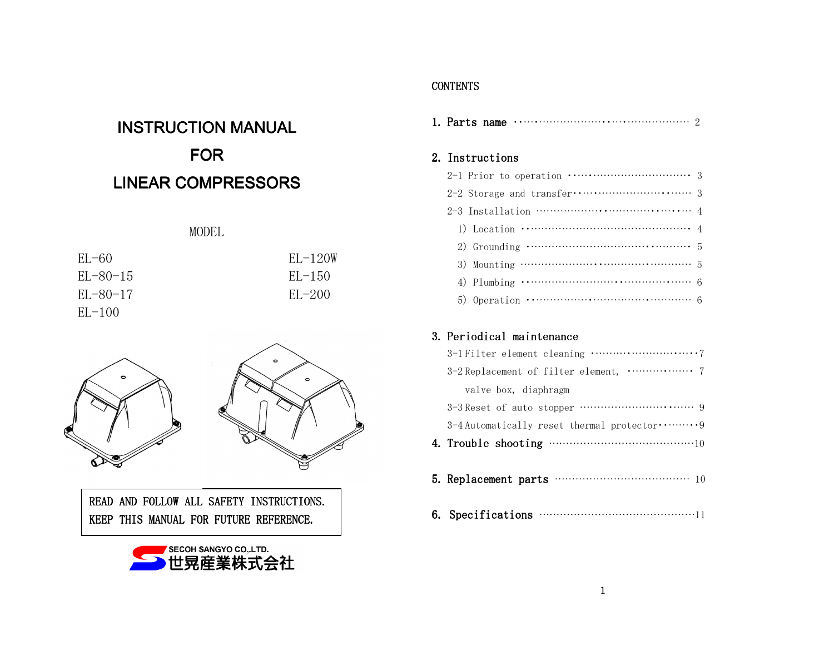# **INSTRUCTION MANUAL** FORLINEAR COMPRESSORS

# MODEL

| $EL-60$     | $EL-120W$ |
|-------------|-----------|
| $E[-80-15]$ | $EL-150$  |
| $EL-80-17$  | $EL-200$  |
| $EL-100$    |           |



READ AND FOLLOW ALL SAFETY INSTRUCTIONS. KEEP THIS MANUAL FOR FUTURE REFERENCE.



### **CONTENTS**

| 2. Instructions                                                                                         |
|---------------------------------------------------------------------------------------------------------|
|                                                                                                         |
|                                                                                                         |
|                                                                                                         |
| 1) Location $\cdots$ $\cdots$ $\cdots$ $\cdots$ $\cdots$ $\cdots$ $\cdots$ $\cdots$ $\cdots$ $\cdots$ 4 |
| 2) Grounding $\cdots$ $\cdots$ $\cdots$ $\cdots$ $\cdots$ $\cdots$ $\cdots$                             |
| 3) Mounting $\cdots$ $\cdots$ $\cdots$ $\cdots$ $\cdots$ $\cdots$ $\cdots$ 5                            |
| 4) Plumbing $\cdots$ $\cdots$ $\cdots$ $\cdots$ $\cdots$ $\cdots$ $\cdots$ $\cdots$ $\cdots$ 6          |
|                                                                                                         |

# 3. Periodical maintenance

| valve box, diaphragm                      |
|-------------------------------------------|
| 3-3 Reset of auto stopper ………………………………… 9 |
|                                           |
|                                           |
|                                           |
|                                           |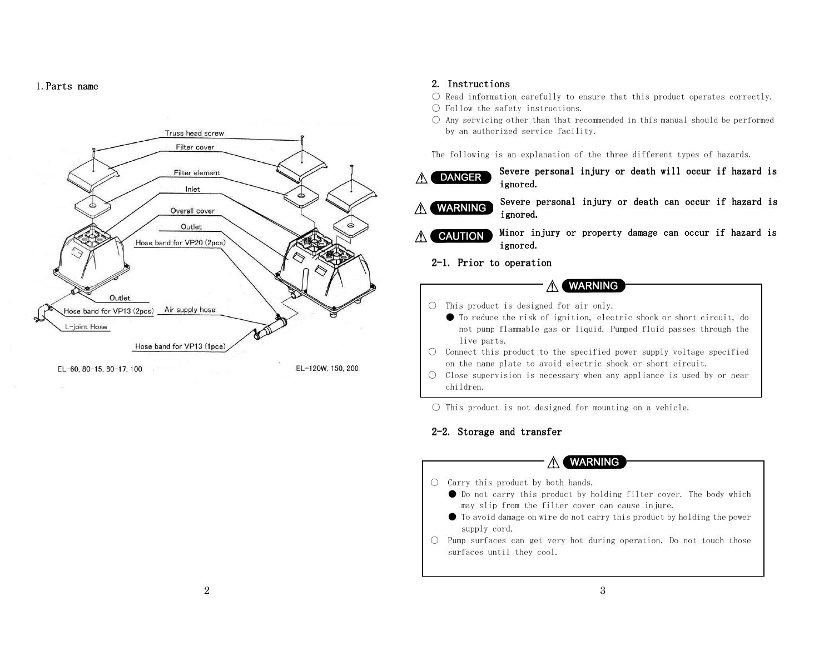1. **Parts name** 



#### 2. Instructions 2. Instructions

- $\bigcirc$  Read information carefully to ensure that this product operates correctly.
- Follow the safety instructions.
- Any servicing other than that recommended in this manual should be performed by an authorized service facility.

The following is an explanation of the three different types of hazards.

- Severe personal injury or death will occur if hazard is **DANGER**  $\wedge$ ignored.
- Severe personal injury or death can occur if hazard is ∧ **WARNING** ignored.
- A CAUTION Minor injury or property damage can occur if hazard is ignored.
	- 2-1. Prior to operation

#### **WARNING** ⚠

- $\bigcirc$  This product is designed for air only.
	- To reduce the risk of ignition, electric shock or short circuit, do not pump flammable gas or liquid. Pumped fluid passes through the live parts.
- $\circlearrowright$  Connect this product to the specified power supply voltage specified on the name plate to avoid electric shock or short circuit.
- Close supervision is necessary when any appliance is used by or near children.
- $\bigcirc$  This product is not designed for mounting on a vehicle.

### 2-2. Storage and transfer

### A WARNING

- Carry this product by both hands.
	- Do not carry this product by holding filter cover. The body which may slip from the filter cover can cause injure.
	- To avoid damage on wire do not carry this product by holding the power supply cord.
- Pump surfaces can get very hot during operation. Do not touch those surfaces until they cool.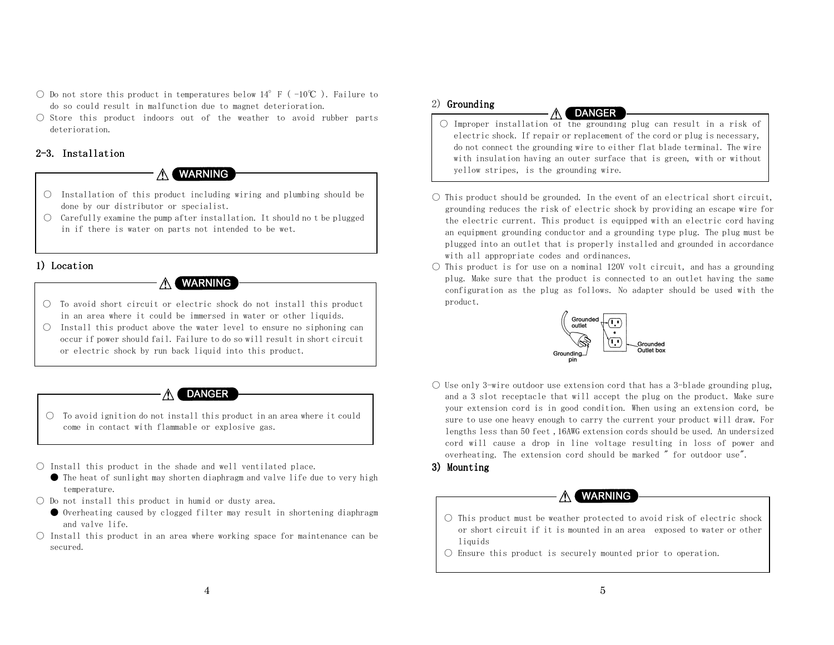- Do not store this product in temperatures below  $14^{\circ}$  F ( $-10^{\circ}$ C). Failure to do so could result in malfunction due to magnet deterioration.
- Store this product indoors out of the weather to avoid rubber parts deterioration.

### 2-3. Installation

### **A WARNING**

- $\bigcirc$  Installation of this product including wiring and plumbing should be done by our distributor or specialist.
- $\circlearrowright$  Carefully examine the pump after installation. It should no t be plugged in if there is water on parts not intended to be wet.

#### 1) Location

#### **WARNING**  $\wedge$

- $\bigcirc$  To avoid short circuit or electric shock do not install this product in an area where it could be immersed in water or other liquids.
- $\circlearrowright$  Install this product above the water level to ensure no siphoning can occur if power should fail. Failure to do so will result in short circuit or electric shock by run back liquid into this product.

#### **DANGER** ∧⊣

- To avoid ignition do not install this product in an area where it could come in contact with flammable or explosive gas.
- $\bigcirc$  Install this product in the shade and well ventilated place.
	- The heat of sunlight may shorten diaphragm and valve life due to very high temperature.
- $\bigcirc$  Do not install this product in humid or dusty area.
	- Overheating caused by clogged filter may result in shortening diaphragm and valve life.
- $\bigcirc$  Install this product in an area where working space for maintenance can be secured.

#### 2) Grounding

**A DANGER** 

- $\bigcirc$  Improper installation of the grounding plug can result in a risk of electric shock. If repair or replacement of the cord or plug is necessary, do not connect the grounding wire to either flat blade terminal. The wire with insulation having an outer surface that is green, with or without yellow stripes, is the grounding wire.
- $\bigcirc$  This product should be grounded. In the event of an electrical short circuit, grounding reduces the risk of electric shock by providing an escape wire for the electric current. This product is equipped with an electric cord having an equipment grounding conductor and a grounding type plug. The plug must be plugged into an outlet that is properly installed and grounded in accordance with all appropriate codes and ordinances.
- $\circlearrowright$  This product is for use on a nominal 120V volt circuit, and has a grounding plug. Make sure that the product is connected to an outlet having the same configuration as the plug as follows. No adapter should be used with the product.



 $\bigcirc$  Use only 3-wire outdoor use extension cord that has a 3-blade grounding plug, and a 3 slot receptacle that will accept the plug on the product. Make sure your extension cord is in good condition. When using an extension cord, be sure to use one heavy enough to carry the current your product will draw. For lengths less than 50 feet ,16AWG extension cords should be used. An undersized cord will cause a drop in line voltage resulting in loss of power and overheating. The extension cord should be marked " for outdoor use".

#### 3) Mounting

### **A WARNING**

- $\bigcirc$  This product must be weather protected to avoid risk of electric shock or short circuit if it is mounted in an area exposed to water or other liquids
- Ensure this product is securely mounted prior to operation.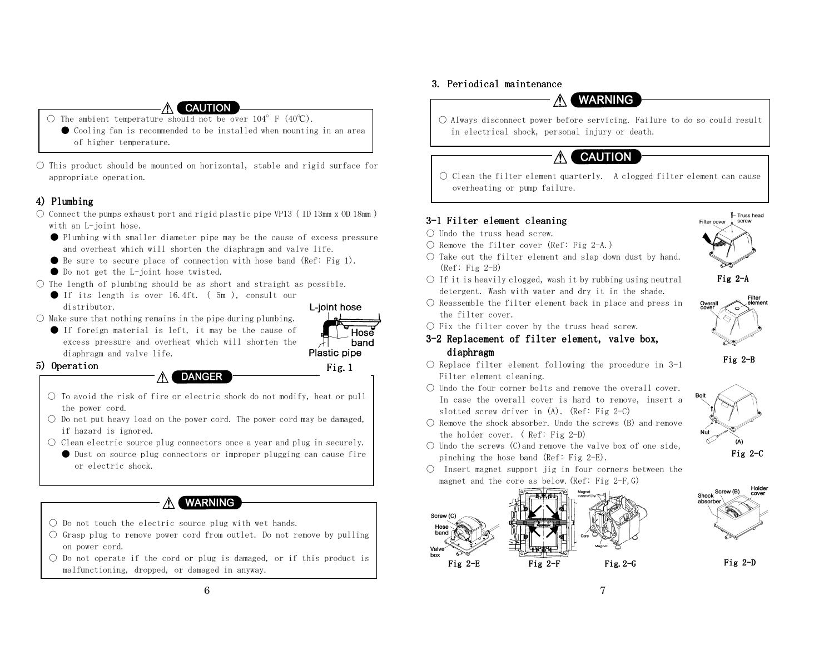#### **CAUTION**

- The ambient temperature should not be over  $104^\circ$  F  $(40^\circ \text{C})$ .
- Cooling fan is recommended to be installed when mounting in an area of higher temperature.
- $\bigcirc$  This product should be mounted on horizontal, stable and rigid surface for appropriate operation.

### 4) Plumbing 4) Plumbing

- $\circlearrowright$  Connect the pumps exhaust port and rigid plastic pipe VP13 ( ID 13mm x 0D 18mm ) with an L-joint hose.
	- Plumbing with smaller diameter pipe may be the cause of excess pressure and overheat which will shorten the diaphragm and valve life.
	- $\bullet$  Be sure to secure place of connection with hose band (Ref: Fig 1).
	- Do not get the L-joint hose twisted.
- $\bigcirc$  The length of plumbing should be as short and straight as possible.
	- If its length is over 16.4ft. (5m), consult our distributor.
- $\bigcirc$  Make sure that nothing remains in the pipe during plumbing.
	- If foreign material is left, it may be the cause of excess pressure and overheat which will shorten thediaphragm and valve life.
		-

Fig.1

Plastic pipe

Hosé band

L-ioint hose

#### 5) Operation

#### **DANGER**  $\wedge$

- To avoid the risk of fire or electric shock do not modify, heat or pull the power cord.
- $\bigcirc$  Do not put heavy load on the power cord. The power cord may be damaged, if hazard is ignored.
- Clean electric source plug connectors once a year and plug in securely. ● Dust on source plug connectors or improper plugging can cause fire or electric shock.

## **WARNING**

- $\bigcirc$  Do not touch the electric source plug with wet hands.
- Grasp plug to remove power cord from outlet. Do not remove by pulling on power cord.
- $\bigcirc$  Do not operate if the cord or plug is damaged, or if this product is malfunctioning, dropped, or damaged in anyway.

### 3. Periodical maintenance



○ Always disconnect power before servicing. Failure to do so could result in electrical shock, personal injury or death.

## **CAUTION**

 $\bigcirc$  Clean the filter element quarterly. A clogged filter element can cause overheating or pump failure.

## 3-1 Filter element cleaning

- Undo the truss head screw.
- $\bigcirc$  Remove the filter cover (Ref: Fig 2-A.)
- $\bigcirc$  Take out the filter element and slap down dust by hand. (Ref: Fig 2-B)



Fig 2-A

Filter



- the filter cover.
- $\bigcirc$  Fix the filter cover by the truss head screw.

#### 3-2 Replacement of filter element, valve box, diaphragm

- $\bigcirc$  Replace filter element following the procedure in 3-1 Filter element cleaning.
- $\bigcirc$  Undo the four corner bolts and remove the overall cover. In case the overall cover is hard to remove, insert a slotted screw driver in (A). (Ref: Fig 2-C)
- $\bigcirc$  Remove the shock absorber. Undo the screws (B) and remove the holder cover. ( Ref: Fig 2-D)
- $\bigcirc$  Undo the screws (C)and remove the valve box of one side, pinching the hose band (Ref: Fig 2-E).
- Insert magnet support jig in four corners between the magnet and the core as below. (Ref: Fig  $2-F$ , G)







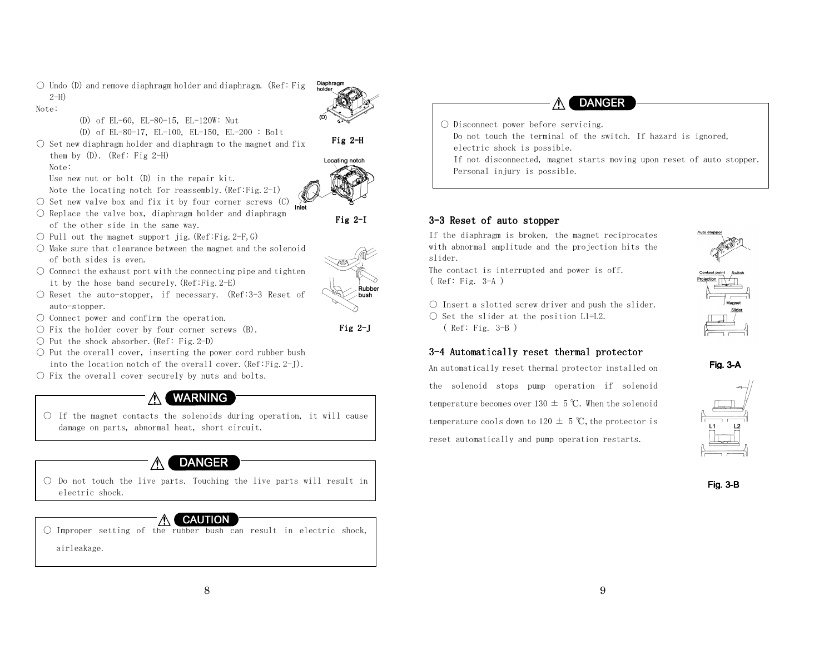$\circlearrowright$  Undo (D) and remove diaphragm holder and diaphragm. (Ref: Fig. 2-H)

Note:

- (D) of EL-60, EL-80-15, EL-120W: Nut
- (D) of EL-80-17, EL-100, EL-150, EL-200 : Bolt
- $\bigcirc$  Set new diaphragm holder and diaphragm to the magnet and fix them by  $(D)$ .  $(\text{Ref: Fig 2-H})$

Note:

Use new nut or bolt (D) in the repair kit.

- Note the locating notch for reassembly.(Ref:Fig.2-I)
- $\bigcirc$  Set new valve box and fix it by four corner screws (C)  $\bigcirc$
- $\bigcirc$  Replace the valve box, diaphragm holder and diaphragm of the other side in the same way.
- $\bigcirc$  Pull out the magnet support jig.(Ref:Fig.2-F,G)
- Make sure that clearance between the magnet and the solenoid of both sides is even.
- $\bigcirc$  Connect the exhaust port with the connecting pipe and tighten it by the hose band securely.(Ref:Fig.2-E)
- Reset the auto-stopper, if necessary. (Ref:3-3 Reset of auto-stopper.
- Connect power and confirm the operation.
- $\bigcirc$  Fix the holder cover by four corner screws (B).
- Put the shock absorber. (Ref: Fig. 2-D)
- Put the overall cover, inserting the power cord rubber bush into the location notch of the overall cover.(Ref:Fig.2-J).
- $\bigcirc$  Fix the overall cover securely by nuts and bolts.



 $\bigcirc$  If the magnet contacts the solenoids during operation, it will cause damage on parts, abnormal heat, short circuit.

# **DANGER**

 $\bigcirc$  Do not touch the live parts. Touching the live parts will result in electric shock.

### **CAUTION**

○ Improper setting of the rubber bush can result in electric shock, airleakage.



○ Disconnect power before servicing. Do not touch the terminal of the switch. If hazard is ignored,

electric shock is possible.

 If not disconnected, magnet starts moving upon reset of auto stopper. Personal injury is possible.

#### 3-3 Reset of auto stopper

If the diaphragm is broken, the magnet reciprocates with abnormal amplitude and the projection hits theslider.

 The contact is interrupted and power is off. ( Ref: Fig. 3-A )

 $\bigcirc$  Insert a slotted screw driver and push the slider.

- $\bigcirc$  Set the slider at the position L1=L2.
	- ( Ref: Fig. 3-B )

### 3-4 Automatically reset thermal protector

An automatically reset thermal protector installed on the solenoid stops pump operation if solenoid temperature becomes over 130  $\pm$  5 ℃. When the solenoid temperature cools down to 120  $\pm$  5 °C, the protector is reset automatically and pump operation restarts.









Fig. 3-B



Fig 2-H

Locating notch





Fig 2-J

.<br>Rubbe bush